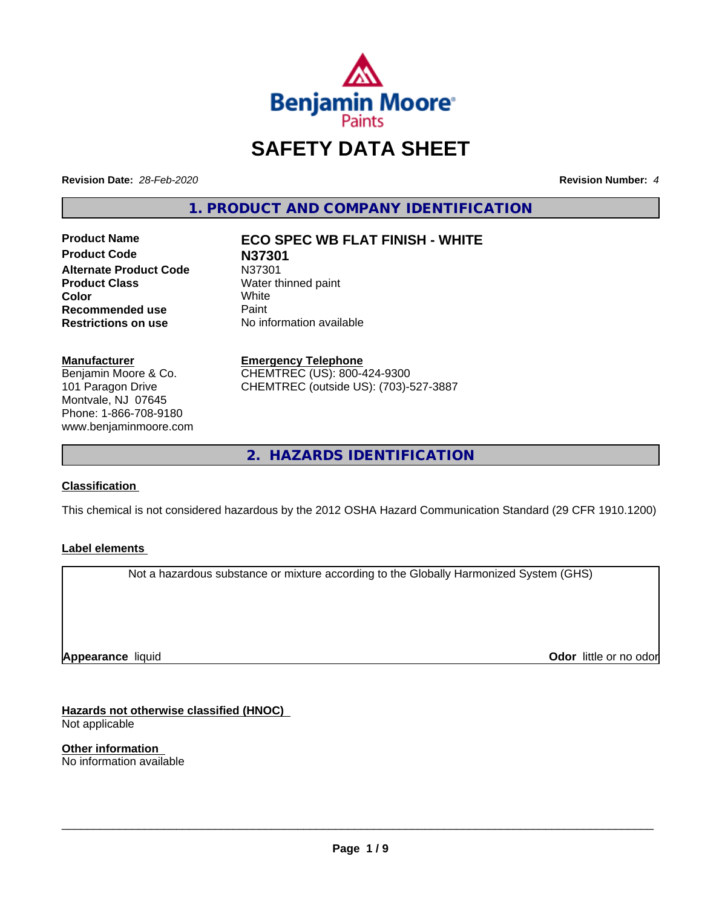

# **SAFETY DATA SHEET**

**Revision Date:** *28-Feb-2020* **Revision Number:** *4*

**1. PRODUCT AND COMPANY IDENTIFICATION**

**Product Name ECO SPEC WB FLAT FINISH - WHITE Product Code N37301 Alternate Product Code** N37301<br>**Product Class** Water th **Color** White White **Recommended use** Paint<br> **Restrictions on use** No inf

**Water thinned paint**<br>White **No information available** 

#### **Manufacturer**

Benjamin Moore & Co. 101 Paragon Drive Montvale, NJ 07645 Phone: 1-866-708-9180 www.benjaminmoore.com

#### **Emergency Telephone**

CHEMTREC (US): 800-424-9300 CHEMTREC (outside US): (703)-527-3887

**2. HAZARDS IDENTIFICATION**

#### **Classification**

This chemical is not considered hazardous by the 2012 OSHA Hazard Communication Standard (29 CFR 1910.1200)

#### **Label elements**

Not a hazardous substance or mixture according to the Globally Harmonized System (GHS)

**Appearance** liquid

**Odor** little or no odor

**Hazards not otherwise classified (HNOC)** Not applicable

**Other information** No information available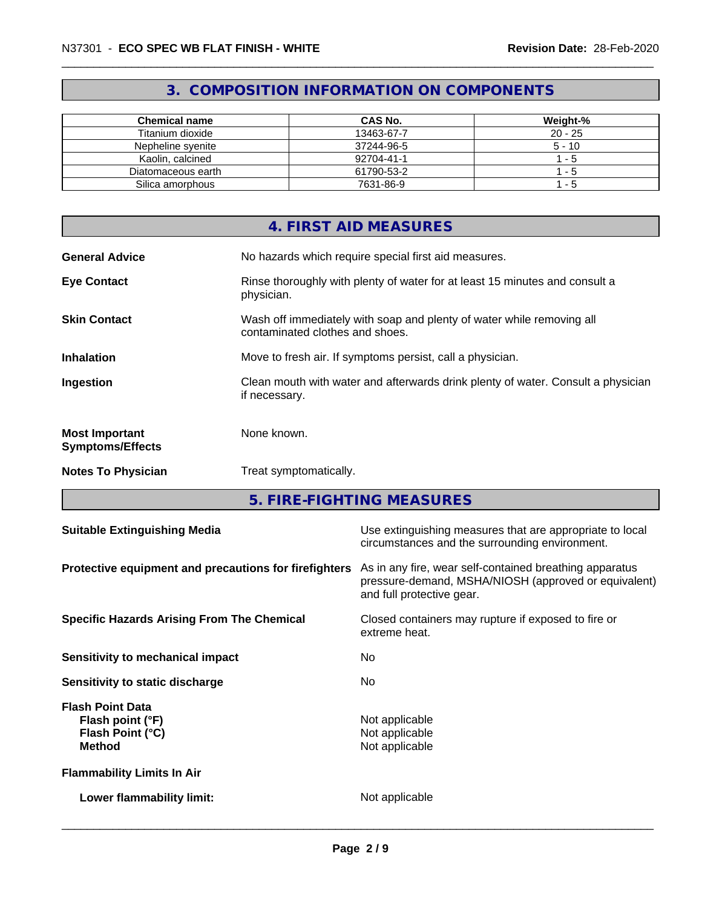## **3. COMPOSITION INFORMATION ON COMPONENTS**

| <b>Chemical name</b> | CAS No.    | Weight-%  |
|----------------------|------------|-----------|
| Titanium dioxide     | 13463-67-7 | $20 - 25$ |
| Nepheline svenite    | 37244-96-5 | $5 - 10$  |
| Kaolin, calcined     | 92704-41-1 | - 5       |
| Diatomaceous earth   | 61790-53-2 | - 5       |
| Silica amorphous     | 7631-86-9  | - 5       |

|                                                  | 4. FIRST AID MEASURES                                                                                    |
|--------------------------------------------------|----------------------------------------------------------------------------------------------------------|
| <b>General Advice</b>                            | No hazards which require special first aid measures.                                                     |
| <b>Eye Contact</b>                               | Rinse thoroughly with plenty of water for at least 15 minutes and consult a<br>physician.                |
| <b>Skin Contact</b>                              | Wash off immediately with soap and plenty of water while removing all<br>contaminated clothes and shoes. |
| <b>Inhalation</b>                                | Move to fresh air. If symptoms persist, call a physician.                                                |
| Ingestion                                        | Clean mouth with water and afterwards drink plenty of water. Consult a physician<br>if necessary.        |
| <b>Most Important</b><br><b>Symptoms/Effects</b> | None known.                                                                                              |
| <b>Notes To Physician</b>                        | Treat symptomatically.                                                                                   |

**5. FIRE-FIGHTING MEASURES**

| <b>Suitable Extinguishing Media</b>                                              | Use extinguishing measures that are appropriate to local<br>circumstances and the surrounding environment.                                   |
|----------------------------------------------------------------------------------|----------------------------------------------------------------------------------------------------------------------------------------------|
| Protective equipment and precautions for firefighters                            | As in any fire, wear self-contained breathing apparatus<br>pressure-demand, MSHA/NIOSH (approved or equivalent)<br>and full protective gear. |
| <b>Specific Hazards Arising From The Chemical</b>                                | Closed containers may rupture if exposed to fire or<br>extreme heat.                                                                         |
| Sensitivity to mechanical impact                                                 | No.                                                                                                                                          |
| Sensitivity to static discharge                                                  | No.                                                                                                                                          |
| <b>Flash Point Data</b><br>Flash point (°F)<br>Flash Point (°C)<br><b>Method</b> | Not applicable<br>Not applicable<br>Not applicable                                                                                           |
| <b>Flammability Limits In Air</b>                                                |                                                                                                                                              |
| Lower flammability limit:                                                        | Not applicable                                                                                                                               |
|                                                                                  |                                                                                                                                              |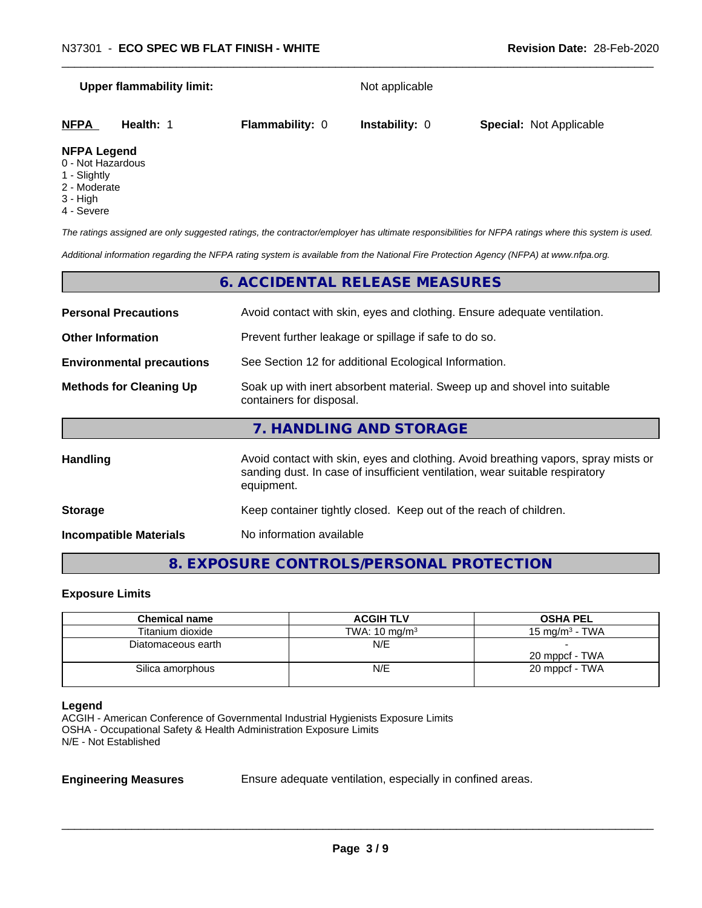# **Upper flammability limit:** Not applicable **NFPA Health:** 1 **Flammability:** 0 **Instability:** 0 **Special:** Not Applicable **NFPA Legend**

## 0 - Not Hazardous

- 
- 1 Slightly
- 2 Moderate
- 3 High
- 4 Severe

*The ratings assigned are only suggested ratings, the contractor/employer has ultimate responsibilities for NFPA ratings where this system is used.*

*Additional information regarding the NFPA rating system is available from the National Fire Protection Agency (NFPA) at www.nfpa.org.*

|                                  | 6. ACCIDENTAL RELEASE MEASURES                                                                                                                                                   |
|----------------------------------|----------------------------------------------------------------------------------------------------------------------------------------------------------------------------------|
| <b>Personal Precautions</b>      | Avoid contact with skin, eyes and clothing. Ensure adequate ventilation.                                                                                                         |
| <b>Other Information</b>         | Prevent further leakage or spillage if safe to do so.                                                                                                                            |
| <b>Environmental precautions</b> | See Section 12 for additional Ecological Information.                                                                                                                            |
| <b>Methods for Cleaning Up</b>   | Soak up with inert absorbent material. Sweep up and shovel into suitable<br>containers for disposal.                                                                             |
|                                  | 7. HANDLING AND STORAGE                                                                                                                                                          |
| <b>Handling</b>                  | Avoid contact with skin, eyes and clothing. Avoid breathing vapors, spray mists or<br>sanding dust. In case of insufficient ventilation, wear suitable respiratory<br>equipment. |
| <b>Storage</b>                   | Keep container tightly closed. Keep out of the reach of children.                                                                                                                |
| <b>Incompatible Materials</b>    | No information available                                                                                                                                                         |

## **8. EXPOSURE CONTROLS/PERSONAL PROTECTION**

#### **Exposure Limits**

| <b>Chemical name</b> | <b>ACGIH TLV</b>         | <b>OSHA PEL</b>   |
|----------------------|--------------------------|-------------------|
| Titanium dioxide     | TWA: $10 \text{ mg/m}^3$ | 15 mg/m $3$ - TWA |
| Diatomaceous earth   | N/E                      |                   |
|                      |                          | 20 mppcf - TWA    |
| Silica amorphous     | N/E                      | 20 mppcf - TWA    |
|                      |                          |                   |

#### **Legend**

ACGIH - American Conference of Governmental Industrial Hygienists Exposure Limits OSHA - Occupational Safety & Health Administration Exposure Limits N/E - Not Established

**Engineering Measures** Ensure adequate ventilation, especially in confined areas.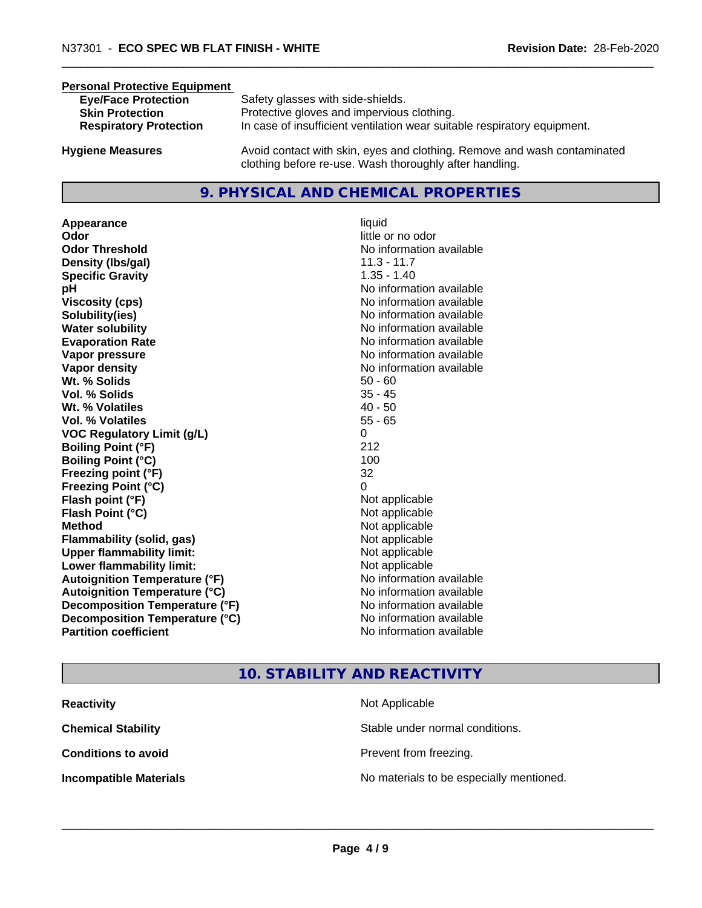#### **Personal Protective Equipment**

| <b>Eye/Face Protection</b><br><b>Skin Protection</b><br><b>Respiratory Protection</b> | Safety glasses with side-shields.<br>Protective gloves and impervious clothing.<br>In case of insufficient ventilation wear suitable respiratory equipment. |
|---------------------------------------------------------------------------------------|-------------------------------------------------------------------------------------------------------------------------------------------------------------|
|                                                                                       |                                                                                                                                                             |

**Hygiene Measures** Avoid contact with skin, eyes and clothing. Remove and wash contaminated clothing before re-use. Wash thoroughly after handling.

#### **9. PHYSICAL AND CHEMICAL PROPERTIES**

**Appearance** liquid **Odor** little or no odor **Odor Threshold No information available No information available Density (lbs/gal)** 11.3 - 11.7 **Specific Gravity** 1.35 - 1.40 **pH** No information available **Viscosity (cps)** No information available **Solubility(ies)** No information available **Water solubility Water solubility Water solubility Water solubility Water solubility Water solution Evaporation Rate No information available No information available Vapor pressure** No information available **No information** available **Vapor density No information available No information available Wt.** % Solids 50 - 60 **Vol. % Solids** 35 - 45 **Wt. % Volatiles** 40 - 50 **Vol. % Volatiles** 55 - 65 **VOC Regulatory Limit (g/L)** 0 **Boiling Point (°F)** 212 **Boiling Point (°C)** 100 **Freezing point (°F)** 32 **Freezing Point (°C)** 0 **Flash point (°F)**  $\qquad \qquad$  Not applicable **Flash Point (°C)** Not applicable **Method** Not applicable **Flammability (solid, gas)** Not applicable **Upper flammability limit:** Not applicable **Lower flammability limit:** Not applicable **Autoignition Temperature (°F)** No information available **Autoignition Temperature (°C)** No information available **Decomposition Temperature (°F)** No information available **Decomposition Temperature (°C)**<br> **Partition coefficient Partition coefficient 1 Partition available No information available** 

**No information available** 

### **10. STABILITY AND REACTIVITY**

| <b>Reactivity</b>             | Not Applicable                           |
|-------------------------------|------------------------------------------|
| <b>Chemical Stability</b>     | Stable under normal conditions.          |
| <b>Conditions to avoid</b>    | Prevent from freezing.                   |
| <b>Incompatible Materials</b> | No materials to be especially mentioned. |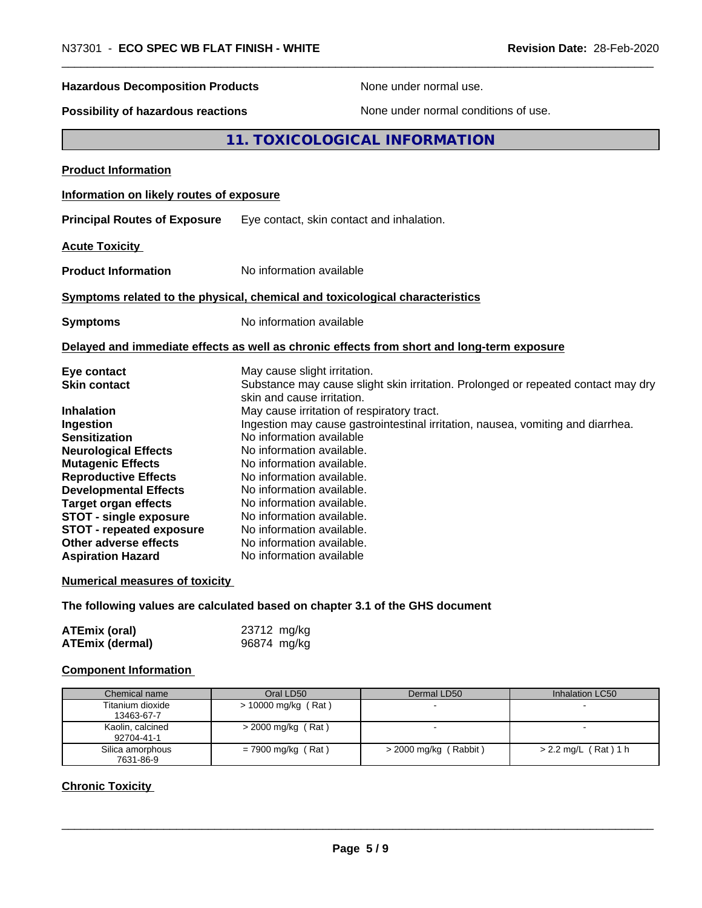| N37301 - ECO SPEC WB FLAT FINISH - WHITE<br>Revision Date: 28-Feb-2020 |                                                                                                                                                 |  |
|------------------------------------------------------------------------|-------------------------------------------------------------------------------------------------------------------------------------------------|--|
| <b>Hazardous Decomposition Products</b>                                | None under normal use.                                                                                                                          |  |
| Possibility of hazardous reactions                                     | None under normal conditions of use.                                                                                                            |  |
|                                                                        | 11. TOXICOLOGICAL INFORMATION                                                                                                                   |  |
| <b>Product Information</b>                                             |                                                                                                                                                 |  |
| Information on likely routes of exposure                               |                                                                                                                                                 |  |
| <b>Principal Routes of Exposure</b>                                    | Eye contact, skin contact and inhalation.                                                                                                       |  |
| <b>Acute Toxicity</b>                                                  |                                                                                                                                                 |  |
| <b>Product Information</b>                                             | No information available                                                                                                                        |  |
|                                                                        | Symptoms related to the physical, chemical and toxicological characteristics                                                                    |  |
| <b>Symptoms</b>                                                        | No information available                                                                                                                        |  |
|                                                                        | Delayed and immediate effects as well as chronic effects from short and long-term exposure                                                      |  |
| Eye contact<br><b>Skin contact</b>                                     | May cause slight irritation.<br>Substance may cause slight skin irritation. Prolonged or repeated contact may dry<br>skin and cause irritation. |  |
| <b>Inhalation</b>                                                      | May cause irritation of respiratory tract.                                                                                                      |  |
| Ingestion                                                              | Ingestion may cause gastrointestinal irritation, nausea, vomiting and diarrhea.                                                                 |  |
| Sensitization                                                          | No information available                                                                                                                        |  |
| <b>Neurological Effects</b>                                            | No information available.                                                                                                                       |  |
| <b>Mutagenic Effects</b>                                               | No information available.                                                                                                                       |  |
| <b>Reproductive Effects</b>                                            | No information available.                                                                                                                       |  |
| <b>Developmental Effects</b>                                           | No information available.<br>No information available.                                                                                          |  |
| <b>Target organ effects</b>                                            |                                                                                                                                                 |  |
| <b>STOT - single exposure</b><br><b>STOT - repeated exposure</b>       | No information available.<br>No information available.                                                                                          |  |
| Other adverse effects                                                  | No information available.                                                                                                                       |  |
| <b>Aspiration Hazard</b>                                               | No information available                                                                                                                        |  |
|                                                                        |                                                                                                                                                 |  |
| <b>Numerical measures of toxicity</b>                                  |                                                                                                                                                 |  |

**The following values are calculated based on chapter 3.1 of the GHS document**

| <b>ATEmix (oral)</b>   | 23712 mg/kg |
|------------------------|-------------|
| <b>ATEmix (dermal)</b> | 96874 mg/kg |

## **Component Information**

| Chemical name                  | Oral LD50            | Dermal LD50             | Inhalation LC50        |
|--------------------------------|----------------------|-------------------------|------------------------|
| Titanium dioxide<br>13463-67-7 | > 10000 mg/kg (Rat)  |                         |                        |
| Kaolin, calcined<br>92704-41-1 | $>$ 2000 mg/kg (Rat) |                         |                        |
| Silica amorphous               | $= 7900$ mg/kg (Rat) | $>$ 2000 mg/kg (Rabbit) | $> 2.2$ mg/L (Rat) 1 h |
| 7631-86-9                      |                      |                         |                        |

## **Chronic Toxicity**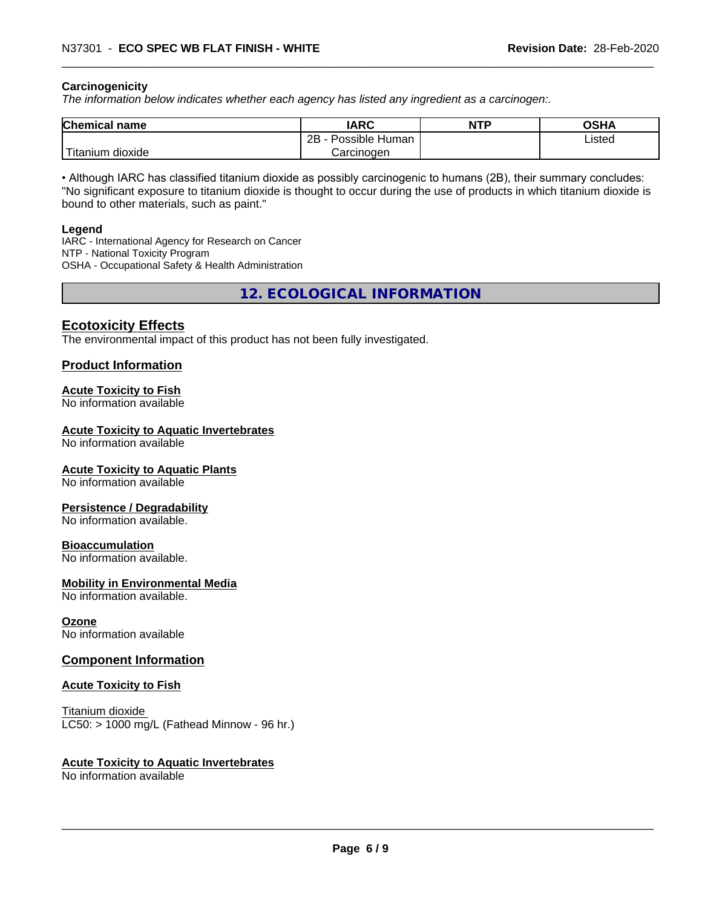#### **Carcinogenicity**

*The information below indicateswhether each agency has listed any ingredient as a carcinogen:.*

| <b>Chemical name</b>             | <b>IARC</b>               | <b>NTP</b> | <b>OSHA</b> |
|----------------------------------|---------------------------|------------|-------------|
|                                  | Possible<br>2B<br>· Human |            | Listed      |
| .<br>. dioxide<br><b>itanium</b> | Carcinoɑen                |            |             |

• Although IARC has classified titanium dioxide as possibly carcinogenic to humans (2B), their summary concludes: "No significant exposure to titanium dioxide is thought to occur during the use of products in which titanium dioxide is bound to other materials, such as paint."

#### **Legend**

IARC - International Agency for Research on Cancer NTP - National Toxicity Program OSHA - Occupational Safety & Health Administration

**12. ECOLOGICAL INFORMATION**

#### **Ecotoxicity Effects**

The environmental impact of this product has not been fully investigated.

#### **Product Information**

#### **Acute Toxicity to Fish**

No information available

#### **Acute Toxicity to Aquatic Invertebrates**

No information available

#### **Acute Toxicity to Aquatic Plants**

No information available

#### **Persistence / Degradability**

No information available.

#### **Bioaccumulation**

No information available.

#### **Mobility in Environmental Media**

No information available.

#### **Ozone**

No information available

#### **Component Information**

#### **Acute Toxicity to Fish**

Titanium dioxide  $LC50:$  > 1000 mg/L (Fathead Minnow - 96 hr.)

#### **Acute Toxicity to Aquatic Invertebrates**

No information available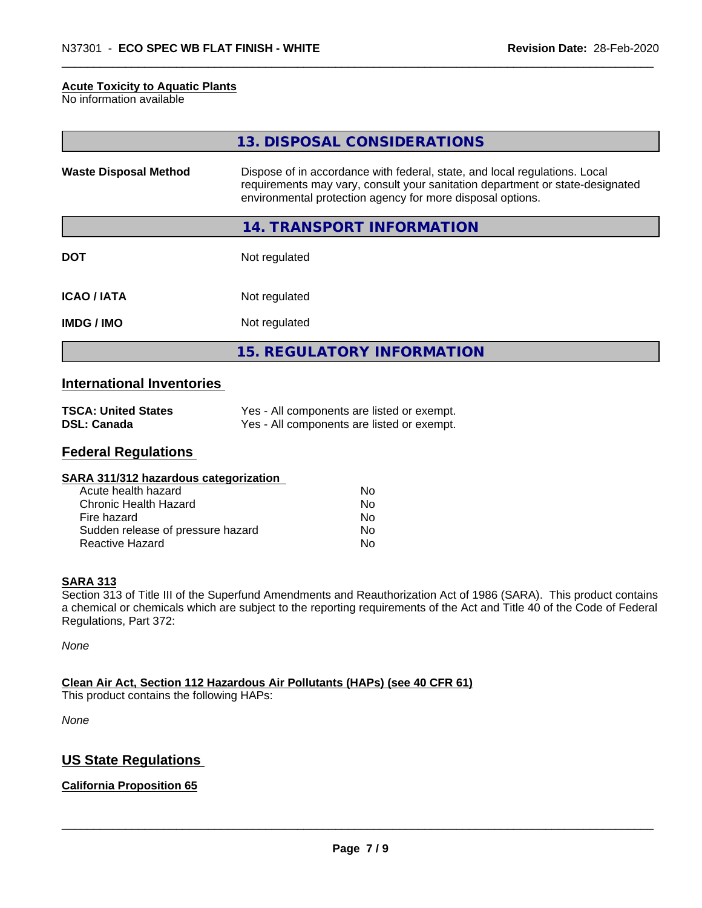#### **Acute Toxicity to Aquatic Plants**

No information available

|                              | 13. DISPOSAL CONSIDERATIONS                                                                                                                                                                                               |
|------------------------------|---------------------------------------------------------------------------------------------------------------------------------------------------------------------------------------------------------------------------|
| <b>Waste Disposal Method</b> | Dispose of in accordance with federal, state, and local regulations. Local<br>requirements may vary, consult your sanitation department or state-designated<br>environmental protection agency for more disposal options. |
|                              | 14. TRANSPORT INFORMATION                                                                                                                                                                                                 |
| <b>DOT</b>                   | Not regulated                                                                                                                                                                                                             |
| <b>ICAO/IATA</b>             | Not regulated                                                                                                                                                                                                             |
| <b>IMDG/IMO</b>              | Not regulated                                                                                                                                                                                                             |
|                              | <b>15. REGULATORY INFORMATION</b>                                                                                                                                                                                         |

## **International Inventories**

| <b>TSCA: United States</b> | Yes - All components are listed or exempt. |
|----------------------------|--------------------------------------------|
| DSL: Canada                | Yes - All components are listed or exempt. |

#### **Federal Regulations**

| Nο |  |
|----|--|
| Nο |  |
| No |  |
| No |  |
| No |  |
|    |  |

#### **SARA 313**

Section 313 of Title III of the Superfund Amendments and Reauthorization Act of 1986 (SARA). This product contains a chemical or chemicals which are subject to the reporting requirements of the Act and Title 40 of the Code of Federal Regulations, Part 372:

*None*

**Clean Air Act,Section 112 Hazardous Air Pollutants (HAPs) (see 40 CFR 61)** This product contains the following HAPs:

*None*

## **US State Regulations**

#### **California Proposition 65**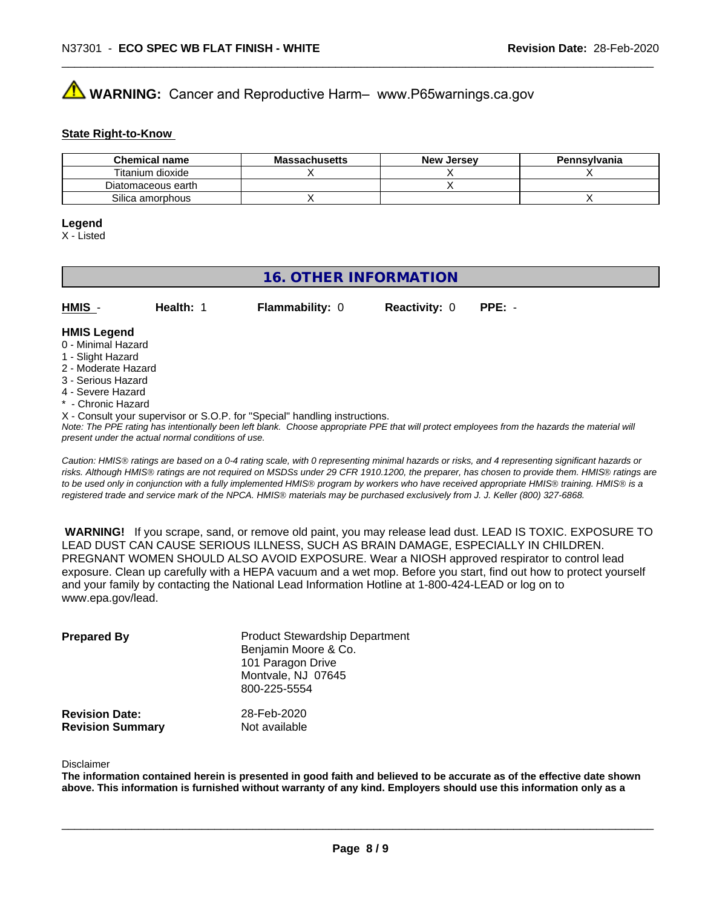## **AVIMARNING:** Cancer and Reproductive Harm– www.P65warnings.ca.gov

#### **State Right-to-Know**

| <b>Chemical name</b> | <b>Massachusetts</b> | <b>New Jersey</b> | Pennsylvania |
|----------------------|----------------------|-------------------|--------------|
| Titanium dioxide     |                      |                   |              |
| Diatomaceous earth   |                      |                   |              |
| Silica amorphous     |                      |                   |              |

#### **Legend**

X - Listed

## **16. OTHER INFORMATION**

| HMIS               | Health: | <b>Flammability: 0</b> | <b>Reactivity: 0</b> | $PPE: -$ |
|--------------------|---------|------------------------|----------------------|----------|
| <b>HMIS Legend</b> |         |                        |                      |          |

#### 0 - Minimal Hazard

- 1 Slight Hazard
- 2 Moderate Hazard
- 3 Serious Hazard
- 4 Severe Hazard
- \* Chronic Hazard
- X Consult your supervisor or S.O.P. for "Special" handling instructions.

*Note: The PPE rating has intentionally been left blank. Choose appropriate PPE that will protect employees from the hazards the material will present under the actual normal conditions of use.*

*Caution: HMISÒ ratings are based on a 0-4 rating scale, with 0 representing minimal hazards or risks, and 4 representing significant hazards or risks. Although HMISÒ ratings are not required on MSDSs under 29 CFR 1910.1200, the preparer, has chosen to provide them. HMISÒ ratings are to be used only in conjunction with a fully implemented HMISÒ program by workers who have received appropriate HMISÒ training. HMISÒ is a registered trade and service mark of the NPCA. HMISÒ materials may be purchased exclusively from J. J. Keller (800) 327-6868.*

 **WARNING!** If you scrape, sand, or remove old paint, you may release lead dust. LEAD IS TOXIC. EXPOSURE TO LEAD DUST CAN CAUSE SERIOUS ILLNESS, SUCH AS BRAIN DAMAGE, ESPECIALLY IN CHILDREN. PREGNANT WOMEN SHOULD ALSO AVOID EXPOSURE.Wear a NIOSH approved respirator to control lead exposure. Clean up carefully with a HEPA vacuum and a wet mop. Before you start, find out how to protect yourself and your family by contacting the National Lead Information Hotline at 1-800-424-LEAD or log on to www.epa.gov/lead.

| <b>Prepared By</b>                               | <b>Product Stewardship Department</b><br>Benjamin Moore & Co.<br>101 Paragon Drive<br>Montvale, NJ 07645<br>800-225-5554 |  |
|--------------------------------------------------|--------------------------------------------------------------------------------------------------------------------------|--|
| <b>Revision Date:</b><br><b>Revision Summary</b> | 28-Feb-2020<br>Not available                                                                                             |  |

#### Disclaimer

The information contained herein is presented in good faith and believed to be accurate as of the effective date shown above. This information is furnished without warranty of any kind. Employers should use this information only as a